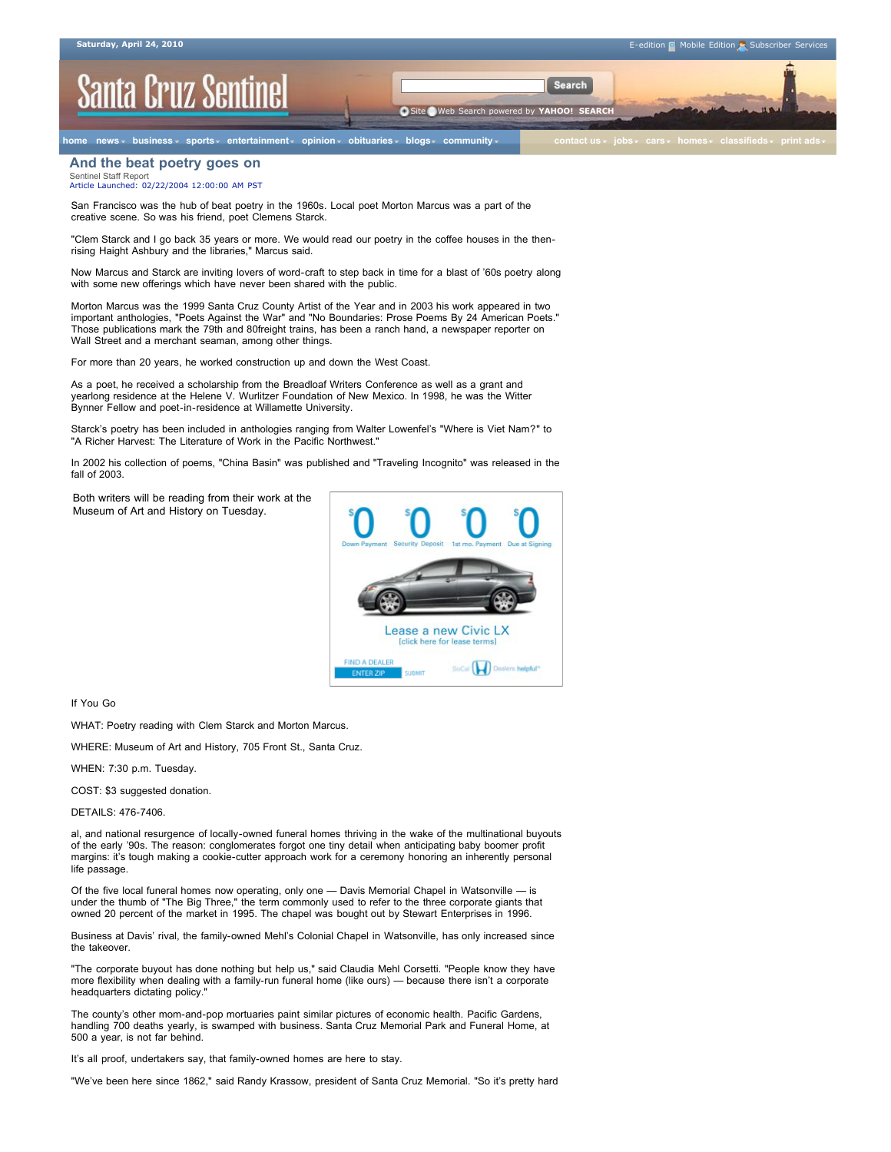## **Santa Cruz Sentinel**

me news <sub>\*</sub> business <sub>\*</sub> sports <sub>\*</sub> entertainment <sub>\*</sub> opinion <sub>\*</sub> obituaries <sub>\*</sub> blogs <sub>\*</sub> community <sub>\*</sub> and contact us + jobs + cars + [home](http://www.santacruzsentinel.com/)s + [classifieds](http://santacruzsentinel.kaango.com/) + [print ads](http://santacruzsentinel.ca.newsmemory.com/marketplace.php)

Site Web Search powered by **YAHOO! SEARCH**

Search

## **And the beat poetry goes on**

Sentinel Staff Repo Article Launched: 02/22/2004 12:00:00 AM PST

San Francisco was the hub of beat poetry in the 1960s. Local poet Morton Marcus was a part of the creative scene. So was his friend, poet Clemens Starck.

"Clem Starck and I go back 35 years or more. We would read our poetry in the coffee houses in the thenrising Haight Ashbury and the libraries," Marcus said.

Now Marcus and Starck are inviting lovers of word-craft to step back in time for a blast of '60s poetry along with some new offerings which have never been shared with the public.

Morton Marcus was the 1999 Santa Cruz County Artist of the Year and in 2003 his work appeared in two important anthologies, "Poets Against the War" and "No Boundaries: Prose Poems By 24 American Poets." Those publications mark the 79th and 80freight trains, has been a ranch hand, a newspaper reporter on Wall Street and a merchant seaman, among other things.

For more than 20 years, he worked construction up and down the West Coast.

As a poet, he received a scholarship from the Breadloaf Writers Conference as well as a grant and yearlong residence at the Helene V. Wurlitzer Foundation of New Mexico. In 1998, he was the Witter Bynner Fellow and poet-in-residence at Willamette University.

Starck's poetry has been included in anthologies ranging from Walter Lowenfel's "Where is Viet Nam?" to "A Richer Harvest: The Literature of Work in the Pacific Northwest."

In 2002 his collection of poems, "China Basin" was published and "Traveling Incognito" was released in the fall of 2003.

Both writers will be reading from their work at the Museum of Art and History on Tuesday.



If You Go

WHAT: Poetry reading with Clem Starck and Morton Marcus.

WHERE: Museum of Art and History, 705 Front St., Santa Cruz.

WHEN: 7:30 p.m. Tuesday.

COST: \$3 suggested donation.

DETAILS: 476-7406.

al, and national resurgence of locally-owned funeral homes thriving in the wake of the multinational buyouts of the early '90s. The reason: conglomerates forgot one tiny detail when anticipating baby boomer profit margins: it's tough making a cookie-cutter approach work for a ceremony honoring an inherently personal life passage.

Of the five local funeral homes now operating, only one — Davis Memorial Chapel in Watsonville — is under the thumb of "The Big Three," the term commonly used to refer to the three corporate giants that owned 20 percent of the market in 1995. The chapel was bought out by Stewart Enterprises in 1996.

Business at Davis' rival, the family-owned Mehl's Colonial Chapel in Watsonville, has only increased since the takeover.

"The corporate buyout has done nothing but help us," said Claudia Mehl Corsetti. "People know they have more flexibility when dealing with a family-run funeral home (like ours) — because there isn't a corporate headquarters dictating policy."

The county's other mom-and-pop mortuaries paint similar pictures of economic health. Pacific Gardens, handling 700 deaths yearly, is swamped with business. Santa Cruz Memorial Park and Funeral Home, at 500 a year, is not far behind.

It's all proof, undertakers say, that family-owned homes are here to stay.

"We've been here since 1862," said Randy Krassow, president of Santa Cruz Memorial. "So it's pretty hard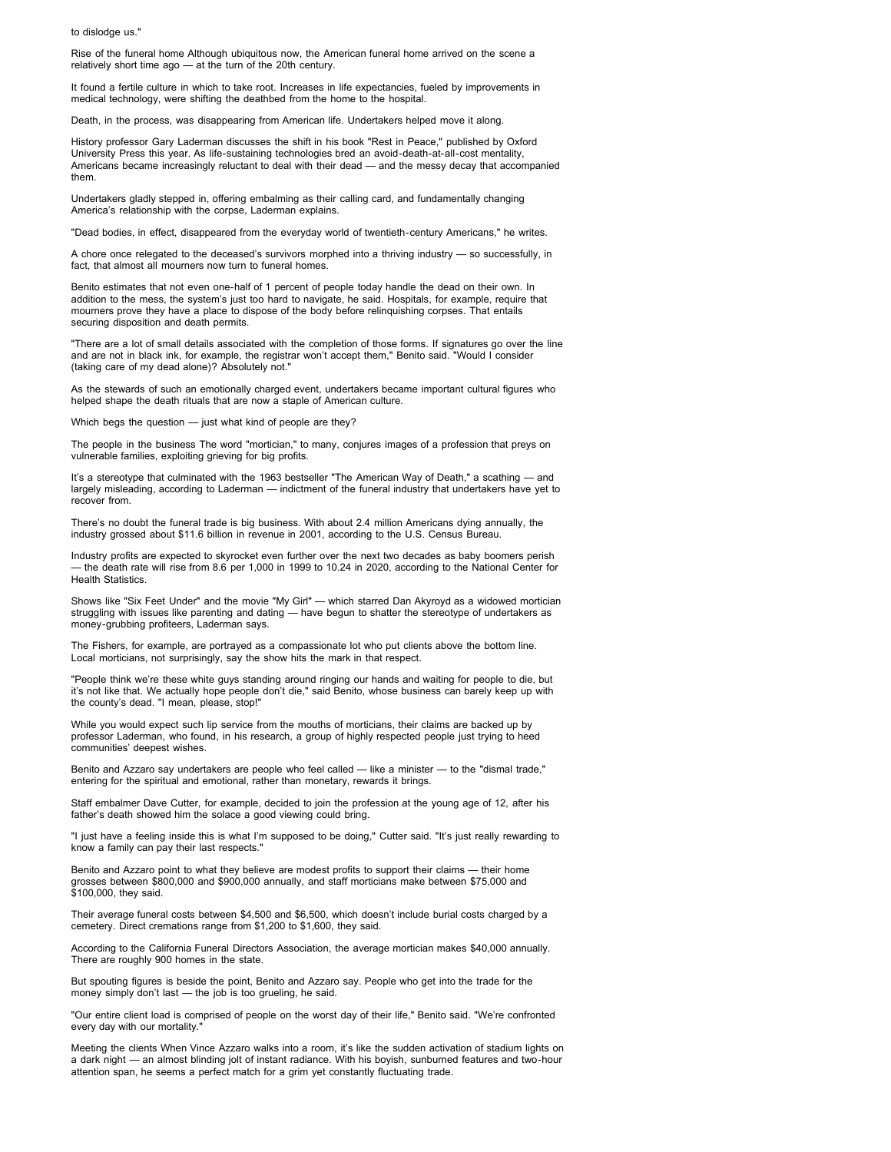to dislodge us."

Rise of the funeral home Although ubiquitous now, the American funeral home arrived on the scene a relatively short time ago — at the turn of the 20th century.

It found a fertile culture in which to take root. Increases in life expectancies, fueled by improvements in medical technology, were shifting the deathbed from the home to the hospital.

Death, in the process, was disappearing from American life. Undertakers helped move it along.

History professor Gary Laderman discusses the shift in his book "Rest in Peace," published by Oxford University Press this year. As life-sustaining technologies bred an avoid-death-at-all-cost mentality, Americans became increasingly reluctant to deal with their dead — and the messy decay that accompanied them.

Undertakers gladly stepped in, offering embalming as their calling card, and fundamentally changing America's relationship with the corpse, Laderman explains.

"Dead bodies, in effect, disappeared from the everyday world of twentieth-century Americans," he writes.

A chore once relegated to the deceased's survivors morphed into a thriving industry — so successfully, in fact, that almost all mourners now turn to funeral homes.

Benito estimates that not even one-half of 1 percent of people today handle the dead on their own. In addition to the mess, the system's just too hard to navigate, he said. Hospitals, for example, require that mourners prove they have a place to dispose of the body before relinquishing corpses. That entails securing disposition and death permits.

"There are a lot of small details associated with the completion of those forms. If signatures go over the line and are not in black ink, for example, the registrar won't accept them," Benito said. "Would I consider (taking care of my dead alone)? Absolutely not."

As the stewards of such an emotionally charged event, undertakers became important cultural figures who helped shape the death rituals that are now a staple of American culture.

Which begs the question — just what kind of people are they?

The people in the business The word "mortician," to many, conjures images of a profession that preys on vulnerable families, exploiting grieving for big profits.

It's a stereotype that culminated with the 1963 bestseller "The American Way of Death," a scathing — and largely misleading, according to Laderman — indictment of the funeral industry that undertakers have yet to recover from.

There's no doubt the funeral trade is big business. With about 2.4 million Americans dying annually, the industry grossed about \$11.6 billion in revenue in 2001, according to the U.S. Census Bureau.

Industry profits are expected to skyrocket even further over the next two decades as baby boomers perish — the death rate will rise from 8.6 per 1,000 in 1999 to 10.24 in 2020, according to the National Center for Health Statistics.

Shows like "Six Feet Under" and the movie "My Girl" — which starred Dan Akyroyd as a widowed mortician struggling with issues like parenting and dating — have begun to shatter the stereotype of undertakers as money-grubbing profiteers, Laderman says.

The Fishers, for example, are portrayed as a compassionate lot who put clients above the bottom line. Local morticians, not surprisingly, say the show hits the mark in that respect.

"People think we're these white guys standing around ringing our hands and waiting for people to die, but it's not like that. We actually hope people don't die," said Benito, whose business can barely keep up with the county's dead. "I mean, please, stop!"

While you would expect such lip service from the mouths of morticians, their claims are backed up by professor Laderman, who found, in his research, a group of highly respected people just trying to heed communities' deepest wishes.

Benito and Azzaro say undertakers are people who feel called — like a minister — to the "dismal trade," entering for the spiritual and emotional, rather than monetary, rewards it brings.

Staff embalmer Dave Cutter, for example, decided to join the profession at the young age of 12, after his father's death showed him the solace a good viewing could bring.

"I just have a feeling inside this is what I'm supposed to be doing," Cutter said. "It's just really rewarding to know a family can pay their last respects."

Benito and Azzaro point to what they believe are modest profits to support their claims — their home grosses between \$800,000 and \$900,000 annually, and staff morticians make between \$75,000 and \$100,000, they said.

Their average funeral costs between \$4,500 and \$6,500, which doesn't include burial costs charged by a cemetery. Direct cremations range from \$1,200 to \$1,600, they said.

According to the California Funeral Directors Association, the average mortician makes \$40,000 annually. There are roughly 900 homes in the state.

But spouting figures is beside the point, Benito and Azzaro say. People who get into the trade for the money simply don't last — the job is too grueling, he said.

"Our entire client load is comprised of people on the worst day of their life," Benito said. "We're confronted every day with our mortality.

Meeting the clients When Vince Azzaro walks into a room, it's like the sudden activation of stadium lights on a dark night — an almost blinding jolt of instant radiance. With his boyish, sunburned features and two-hour attention span, he seems a perfect match for a grim yet constantly fluctuating trade.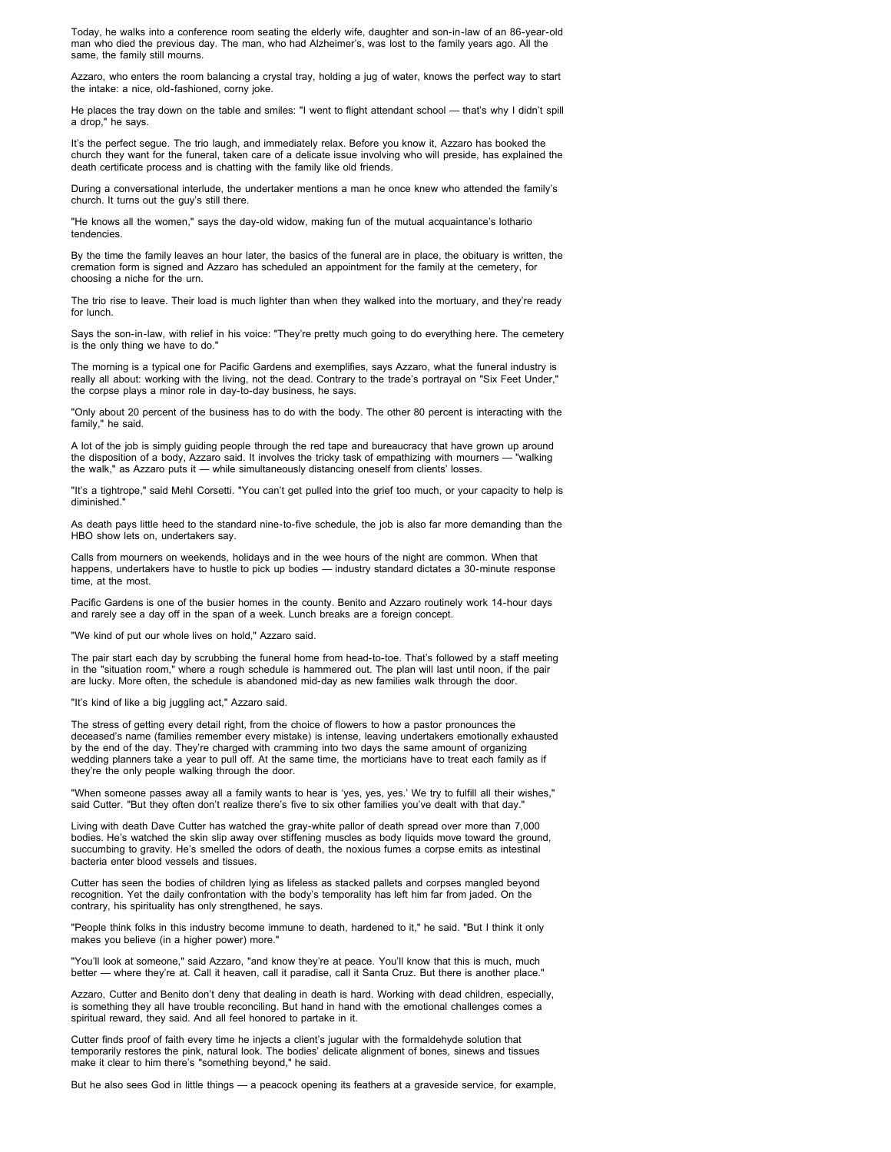Today, he walks into a conference room seating the elderly wife, daughter and son-in-law of an 86-year-old man who died the previous day. The man, who had Alzheimer's, was lost to the family years ago. All the same, the family still mourns.

Azzaro, who enters the room balancing a crystal tray, holding a jug of water, knows the perfect way to start the intake: a nice, old-fashioned, corny joke.

He places the tray down on the table and smiles: "I went to flight attendant school — that's why I didn't spill a drop," he says.

It's the perfect segue. The trio laugh, and immediately relax. Before you know it, Azzaro has booked the church they want for the funeral, taken care of a delicate issue involving who will preside, has explained the death certificate process and is chatting with the family like old friends.

During a conversational interlude, the undertaker mentions a man he once knew who attended the family's church. It turns out the guy's still there.

"He knows all the women," says the day-old widow, making fun of the mutual acquaintance's lothario tendencies.

By the time the family leaves an hour later, the basics of the funeral are in place, the obituary is written, the cremation form is signed and Azzaro has scheduled an appointment for the family at the cemetery, for choosing a niche for the urn.

The trio rise to leave. Their load is much lighter than when they walked into the mortuary, and they're ready for lunch.

Says the son-in-law, with relief in his voice: "They're pretty much going to do everything here. The cemetery is the only thing we have to do."

The morning is a typical one for Pacific Gardens and exemplifies, says Azzaro, what the funeral industry is really all about: working with the living, not the dead. Contrary to the trade's portrayal on "Six Feet Under," the corpse plays a minor role in day-to-day business, he says.

"Only about 20 percent of the business has to do with the body. The other 80 percent is interacting with the family," he said.

A lot of the job is simply guiding people through the red tape and bureaucracy that have grown up around the disposition of a body, Azzaro said. It involves the tricky task of empathizing with mourners — "walking the walk," as Azzaro puts it — while simultaneously distancing oneself from clients' losses.

"It's a tightrope," said Mehl Corsetti. "You can't get pulled into the grief too much, or your capacity to help is diminished."

As death pays little heed to the standard nine-to-five schedule, the job is also far more demanding than the HBO show lets on, undertakers say.

Calls from mourners on weekends, holidays and in the wee hours of the night are common. When that happens, undertakers have to hustle to pick up bodies — industry standard dictates a 30-minute response time, at the most.

Pacific Gardens is one of the busier homes in the county. Benito and Azzaro routinely work 14-hour days and rarely see a day off in the span of a week. Lunch breaks are a foreign concept.

"We kind of put our whole lives on hold," Azzaro said.

The pair start each day by scrubbing the funeral home from head-to-toe. That's followed by a staff meeting in the "situation room," where a rough schedule is hammered out. The plan will last until noon, if the pair are lucky. More often, the schedule is abandoned mid-day as new families walk through the door.

"It's kind of like a big juggling act," Azzaro said.

The stress of getting every detail right, from the choice of flowers to how a pastor pronounces the deceased's name (families remember every mistake) is intense, leaving undertakers emotionally exhausted by the end of the day. They're charged with cramming into two days the same amount of organizing wedding planners take a year to pull off. At the same time, the morticians have to treat each family as if they're the only people walking through the door.

"When someone passes away all a family wants to hear is 'yes, yes, yes.' We try to fulfill all their wishes," said Cutter. "But they often don't realize there's five to six other families you've dealt with that day."

Living with death Dave Cutter has watched the gray-white pallor of death spread over more than 7,000 bodies. He's watched the skin slip away over stiffening muscles as body liquids move toward the ground, succumbing to gravity. He's smelled the odors of death, the noxious fumes a corpse emits as intestinal bacteria enter blood vessels and tissues.

Cutter has seen the bodies of children lying as lifeless as stacked pallets and corpses mangled beyond recognition. Yet the daily confrontation with the body's temporality has left him far from jaded. On the contrary, his spirituality has only strengthened, he says.

"People think folks in this industry become immune to death, hardened to it," he said. "But I think it only makes you believe (in a higher power) more."

"You'll look at someone," said Azzaro, "and know they're at peace. You'll know that this is much, much better — where they're at. Call it heaven, call it paradise, call it Santa Cruz. But there is another place.'

Azzaro, Cutter and Benito don't deny that dealing in death is hard. Working with dead children, especially, is something they all have trouble reconciling. But hand in hand with the emotional challenges comes a spiritual reward, they said. And all feel honored to partake in it.

Cutter finds proof of faith every time he injects a client's jugular with the formaldehyde solution that temporarily restores the pink, natural look. The bodies' delicate alignment of bones, sinews and tissues make it clear to him there's "something beyond," he said.

But he also sees God in little things — a peacock opening its feathers at a graveside service, for example,